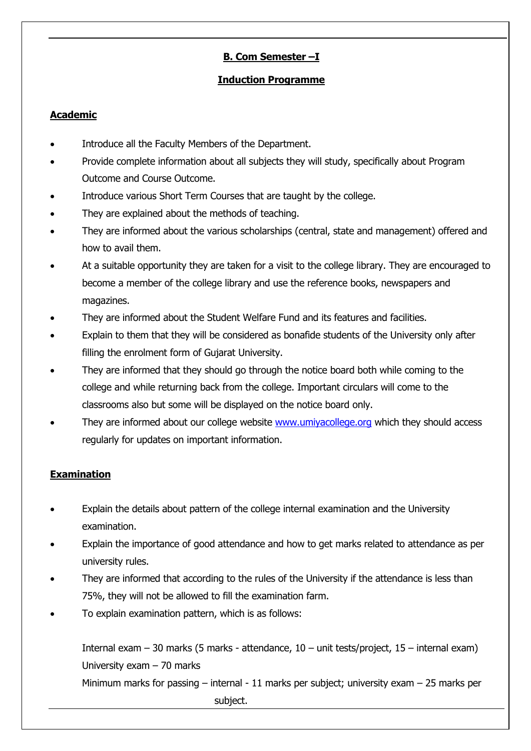## **B. Com Semester –I**

#### **Induction Programme**

#### **Academic**

- Introduce all the Faculty Members of the Department.
- Provide complete information about all subjects they will study, specifically about Program Outcome and Course Outcome.
- Introduce various Short Term Courses that are taught by the college.
- They are explained about the methods of teaching.
- They are informed about the various scholarships (central, state and management) offered and how to avail them.
- At a suitable opportunity they are taken for a visit to the college library. They are encouraged to become a member of the college library and use the reference books, newspapers and magazines.
- They are informed about the Student Welfare Fund and its features and facilities.
- Explain to them that they will be considered as bonafide students of the University only after filling the enrolment form of Gujarat University.
- They are informed that they should go through the notice board both while coming to the college and while returning back from the college. Important circulars will come to the classrooms also but some will be displayed on the notice board only.
- They are informed about our college website [www.umiyacollege.org](http://www.umiyacollege.org/) which they should access regularly for updates on important information.

### **Examination**

- Explain the details about pattern of the college internal examination and the University examination.
- Explain the importance of good attendance and how to get marks related to attendance as per university rules.
- They are informed that according to the rules of the University if the attendance is less than 75%, they will not be allowed to fill the examination farm.
- To explain examination pattern, which is as follows:

Internal exam – 30 marks (5 marks - attendance, 10 – unit tests/project, 15 – internal exam) University exam – 70 marks

Minimum marks for passing – internal - 11 marks per subject; university exam – 25 marks per subject.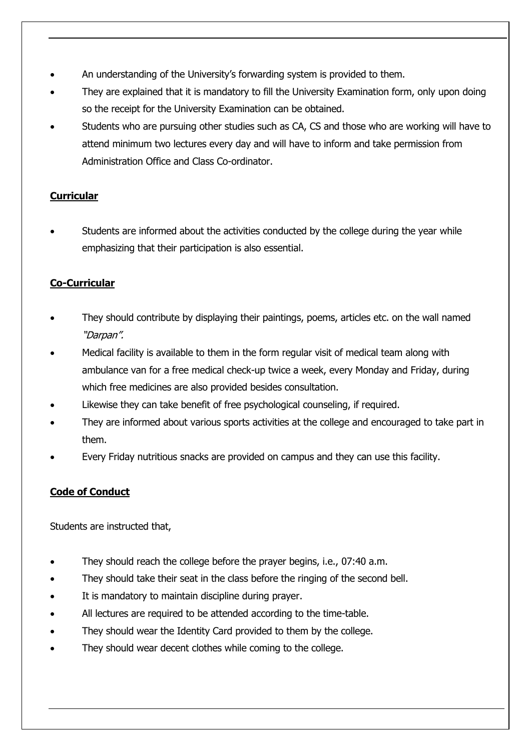- An understanding of the University's forwarding system is provided to them.
- They are explained that it is mandatory to fill the University Examination form, only upon doing so the receipt for the University Examination can be obtained.
- Students who are pursuing other studies such as CA, CS and those who are working will have to attend minimum two lectures every day and will have to inform and take permission from Administration Office and Class Co-ordinator.

### **Curricular**

• Students are informed about the activities conducted by the college during the year while emphasizing that their participation is also essential.

## **Co-Curricular**

- They should contribute by displaying their paintings, poems, articles etc. on the wall named "Darpan".
- Medical facility is available to them in the form regular visit of medical team along with ambulance van for a free medical check-up twice a week, every Monday and Friday, during which free medicines are also provided besides consultation.
- Likewise they can take benefit of free psychological counseling, if required.
- They are informed about various sports activities at the college and encouraged to take part in them.
- Every Friday nutritious snacks are provided on campus and they can use this facility.

# **Code of Conduct**

Students are instructed that,

- They should reach the college before the prayer begins, i.e., 07:40 a.m.
- They should take their seat in the class before the ringing of the second bell.
- It is mandatory to maintain discipline during prayer.
- All lectures are required to be attended according to the time-table.
- They should wear the Identity Card provided to them by the college.
- They should wear decent clothes while coming to the college.